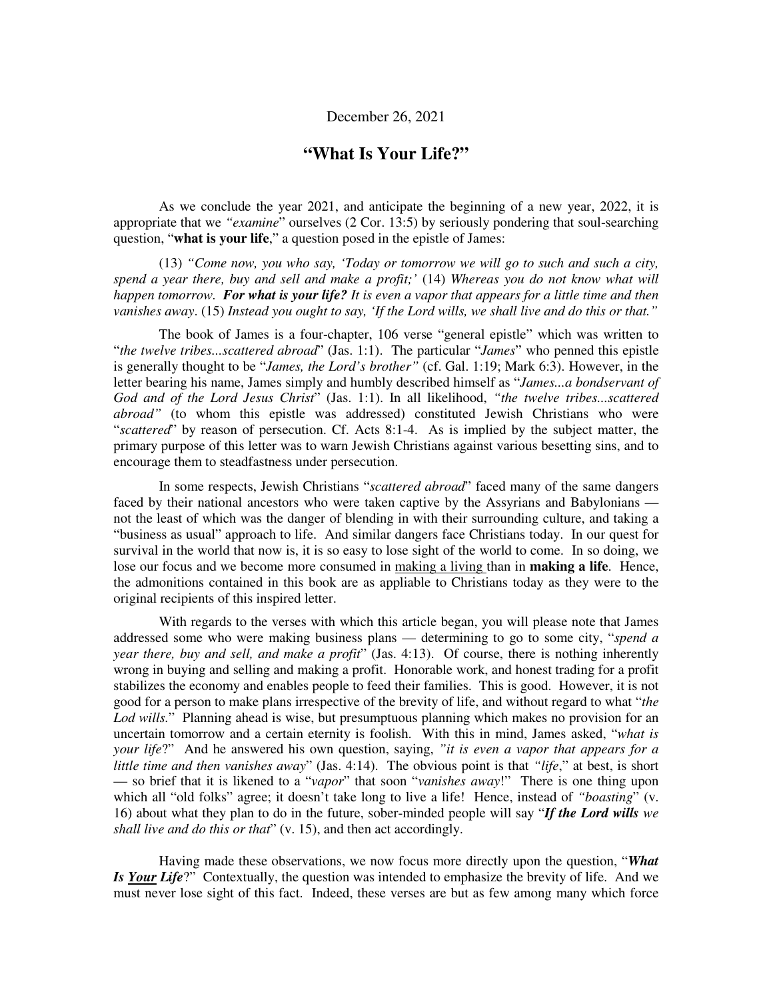## December 26, 2021

# **"What Is Your Life?"**

As we conclude the year 2021, and anticipate the beginning of a new year, 2022, it is appropriate that we *"examine*" ourselves (2 Cor. 13:5) by seriously pondering that soul-searching question, "**what is your life**," a question posed in the epistle of James:

(13) *"Come now, you who say, 'Today or tomorrow we will go to such and such a city, spend a year there, buy and sell and make a profit;'* (14) *Whereas you do not know what will happen tomorrow. For what is your life? It is even a vapor that appears for a little time and then vanishes away*. (15) *Instead you ought to say, 'If the Lord wills, we shall live and do this or that."*

The book of James is a four-chapter, 106 verse "general epistle" which was written to "*the twelve tribes...scattered abroad*" (Jas. 1:1). The particular "*James*" who penned this epistle is generally thought to be "*James, the Lord's brother"* (cf. Gal. 1:19; Mark 6:3). However, in the letter bearing his name, James simply and humbly described himself as "*James...a bondservant of God and of the Lord Jesus Christ*" (Jas. 1:1). In all likelihood, *"the twelve tribes...scattered abroad"* (to whom this epistle was addressed) constituted Jewish Christians who were "*scattered*" by reason of persecution. Cf. Acts 8:1-4. As is implied by the subject matter, the primary purpose of this letter was to warn Jewish Christians against various besetting sins, and to encourage them to steadfastness under persecution.

In some respects, Jewish Christians "*scattered abroad*" faced many of the same dangers faced by their national ancestors who were taken captive by the Assyrians and Babylonians not the least of which was the danger of blending in with their surrounding culture, and taking a "business as usual" approach to life. And similar dangers face Christians today. In our quest for survival in the world that now is, it is so easy to lose sight of the world to come. In so doing, we lose our focus and we become more consumed in making a living than in **making a life**. Hence, the admonitions contained in this book are as appliable to Christians today as they were to the original recipients of this inspired letter.

With regards to the verses with which this article began, you will please note that James addressed some who were making business plans — determining to go to some city, "*spend a year there, buy and sell, and make a profit*" (Jas. 4:13). Of course, there is nothing inherently wrong in buying and selling and making a profit. Honorable work, and honest trading for a profit stabilizes the economy and enables people to feed their families. This is good. However, it is not good for a person to make plans irrespective of the brevity of life, and without regard to what "*the Lod wills.*" Planning ahead is wise, but presumptuous planning which makes no provision for an uncertain tomorrow and a certain eternity is foolish. With this in mind, James asked, "*what is your life*?" And he answered his own question, saying, *"it is even a vapor that appears for a little time and then vanishes away*" (Jas. 4:14). The obvious point is that *"life*," at best, is short — so brief that it is likened to a "*vapor*" that soon "*vanishes away*!" There is one thing upon which all "old folks" agree; it doesn't take long to live a life! Hence, instead of *"boasting*" (v. 16) about what they plan to do in the future, sober-minded people will say "*If the Lord wills we shall live and do this or that*" (v. 15), and then act accordingly.

Having made these observations, we now focus more directly upon the question, "*What Is Your Life*?" Contextually, the question was intended to emphasize the brevity of life. And we must never lose sight of this fact. Indeed, these verses are but as few among many which force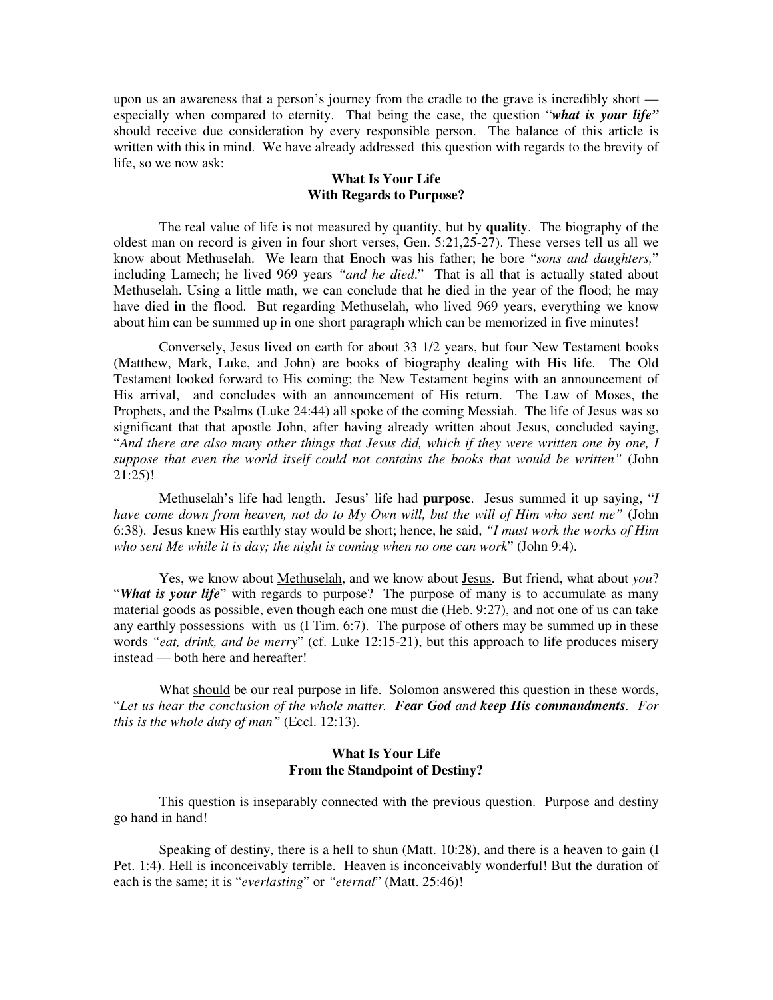upon us an awareness that a person's journey from the cradle to the grave is incredibly short especially when compared to eternity. That being the case, the question "*what is your life"* should receive due consideration by every responsible person. The balance of this article is written with this in mind. We have already addressed this question with regards to the brevity of life, so we now ask:

### **What Is Your Life With Regards to Purpose?**

The real value of life is not measured by quantity, but by **quality**. The biography of the oldest man on record is given in four short verses, Gen. 5:21,25-27). These verses tell us all we know about Methuselah. We learn that Enoch was his father; he bore "*sons and daughters,*" including Lamech; he lived 969 years *"and he died*." That is all that is actually stated about Methuselah. Using a little math, we can conclude that he died in the year of the flood; he may have died **in** the flood. But regarding Methuselah, who lived 969 years, everything we know about him can be summed up in one short paragraph which can be memorized in five minutes!

Conversely, Jesus lived on earth for about 33 1/2 years, but four New Testament books (Matthew, Mark, Luke, and John) are books of biography dealing with His life. The Old Testament looked forward to His coming; the New Testament begins with an announcement of His arrival, and concludes with an announcement of His return. The Law of Moses, the Prophets, and the Psalms (Luke 24:44) all spoke of the coming Messiah. The life of Jesus was so significant that that apostle John, after having already written about Jesus, concluded saying, "*And there are also many other things that Jesus did, which if they were written one by one, I suppose that even the world itself could not contains the books that would be written"* (John 21:25)!

Methuselah's life had length. Jesus' life had **purpose**. Jesus summed it up saying, "*I have come down from heaven, not do to My Own will, but the will of Him who sent me"* (John 6:38). Jesus knew His earthly stay would be short; hence, he said, *"I must work the works of Him who sent Me while it is day; the night is coming when no one can work*" (John 9:4).

Yes, we know about Methuselah, and we know about Jesus. But friend, what about *you*? "*What is your life*" with regards to purpose? The purpose of many is to accumulate as many material goods as possible, even though each one must die (Heb. 9:27), and not one of us can take any earthly possessions with us (I Tim. 6:7). The purpose of others may be summed up in these words *"eat, drink, and be merry*" (cf. Luke 12:15-21), but this approach to life produces misery instead — both here and hereafter!

What should be our real purpose in life. Solomon answered this question in these words, "*Let us hear the conclusion of the whole matter. Fear God and keep His commandments. For this is the whole duty of man"* (Eccl. 12:13).

## **What Is Your Life From the Standpoint of Destiny?**

This question is inseparably connected with the previous question. Purpose and destiny go hand in hand!

Speaking of destiny, there is a hell to shun (Matt. 10:28), and there is a heaven to gain (I Pet. 1:4). Hell is inconceivably terrible. Heaven is inconceivably wonderful! But the duration of each is the same; it is "*everlasting*" or *"eternal*" (Matt. 25:46)!